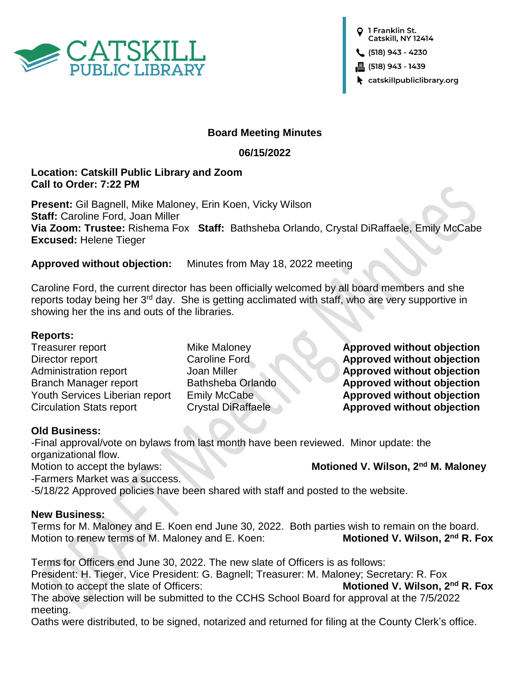

O 1 Franklin St. Catskill, NY 12414

 $(518) 943 - 4230$ 

昌 (518) 943 - 1439

 $\blacktriangleright$  catskillpubliclibrary.org

## **Board Meeting Minutes**

## **06/15/2022**

# **Location: Catskill Public Library and Zoom Call to Order: 7:22 PM**

**Present:** Gil Bagnell, Mike Maloney, Erin Koen, Vicky Wilson **Staff:** Caroline Ford, Joan Miller **Via Zoom: Trustee:** Rishema Fox **Staff:** Bathsheba Orlando, Crystal DiRaffaele, Emily McCabe **Excused:** Helene Tieger

**Approved without objection:** Minutes from May 18, 2022 meeting

Caroline Ford, the current director has been officially welcomed by all board members and she reports today being her 3<sup>rd</sup> day. She is getting acclimated with staff, who are very supportive in showing her the ins and outs of the libraries.

# **Reports:**

Treasurer report Mike Maloney **Approved without objection** Director report Caroline Ford **Approved without objection** Administration report Joan Miller **Approved without objection** Branch Manager report Bathsheba Orlando **Approved without objection** Youth Services Liberian report Emily McCabe **Approved without objection** Circulation Stats report **Crystal DiRaffaele Approved without objection** 

# **Old Business:**

-Final approval/vote on bylaws from last month have been reviewed. Minor update: the organizational flow.

Motion to accept the bylaws: **Motioned V. Wilson, 2nd M. Maloney**

-Farmers Market was a success.

-5/18/22 Approved policies have been shared with staff and posted to the website.

## **New Business:**

Terms for M. Maloney and E. Koen end June 30, 2022. Both parties wish to remain on the board.<br>Motion to renew terms of M. Maloney and E. Koen: **Motioned V. Wilson, 2<sup>nd</sup> R. Fox** Motion to renew terms of M. Maloney and E. Koen:

Terms for Officers end June 30, 2022. The new slate of Officers is as follows:

President: H. Tieger, Vice President: G. Bagnell; Treasurer: M. Maloney; Secretary: R. Fox Motion to accept the slate of Officers: **Motioned V. Wilson, 2<sup>nd</sup> R. Fox** 

The above selection will be submitted to the CCHS School Board for approval at the 7/5/2022 meeting.

Oaths were distributed, to be signed, notarized and returned for filing at the County Clerk's office.